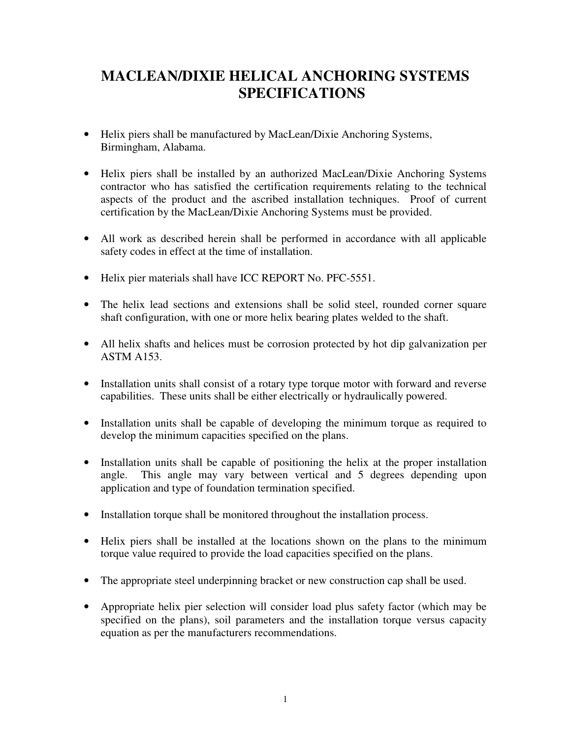# **MACLEAN/DIXIE HELICAL ANCHORING SYSTEMS SPECIFICATIONS**

- Helix piers shall be manufactured by MacLean/Dixie Anchoring Systems, Birmingham, Alabama.
- Helix piers shall be installed by an authorized MacLean/Dixie Anchoring Systems contractor who has satisfied the certification requirements relating to the technical aspects of the product and the ascribed installation techniques. Proof of current certification by the MacLean/Dixie Anchoring Systems must be provided.
- All work as described herein shall be performed in accordance with all applicable safety codes in effect at the time of installation.
- Helix pier materials shall have ICC REPORT No. PFC-5551.
- The helix lead sections and extensions shall be solid steel, rounded corner square shaft configuration, with one or more helix bearing plates welded to the shaft.
- All helix shafts and helices must be corrosion protected by hot dip galvanization per ASTM A153.
- Installation units shall consist of a rotary type torque motor with forward and reverse capabilities. These units shall be either electrically or hydraulically powered.
- Installation units shall be capable of developing the minimum torque as required to develop the minimum capacities specified on the plans.
- Installation units shall be capable of positioning the helix at the proper installation angle. This angle may vary between vertical and 5 degrees depending upon application and type of foundation termination specified.
- Installation torque shall be monitored throughout the installation process.
- Helix piers shall be installed at the locations shown on the plans to the minimum torque value required to provide the load capacities specified on the plans.
- The appropriate steel underpinning bracket or new construction cap shall be used.
- Appropriate helix pier selection will consider load plus safety factor (which may be specified on the plans), soil parameters and the installation torque versus capacity equation as per the manufacturers recommendations.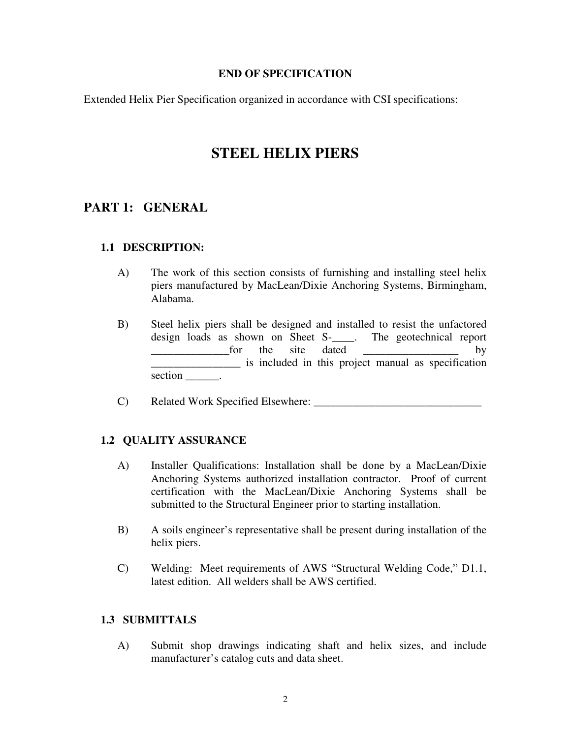#### **END OF SPECIFICATION**

Extended Helix Pier Specification organized in accordance with CSI specifications:

# **STEEL HELIX PIERS**

## **PART 1: GENERAL**

#### **1.1 DESCRIPTION:**

- A) The work of this section consists of furnishing and installing steel helix piers manufactured by MacLean/Dixie Anchoring Systems, Birmingham, Alabama.
- B) Steel helix piers shall be designed and installed to resist the unfactored design loads as shown on Sheet S-\_\_\_\_. The geotechnical report for the site dated by \_\_\_\_\_\_\_\_\_\_\_\_\_\_\_\_ is included in this project manual as specification section  $\qquad$ .
- C) Related Work Specified Elsewhere: \_\_\_\_\_\_\_\_\_\_\_\_\_\_\_\_\_\_\_\_\_\_\_\_\_\_\_\_\_\_

### **1.2 QUALITY ASSURANCE**

- A) Installer Qualifications: Installation shall be done by a MacLean/Dixie Anchoring Systems authorized installation contractor. Proof of current certification with the MacLean/Dixie Anchoring Systems shall be submitted to the Structural Engineer prior to starting installation.
- B) A soils engineer's representative shall be present during installation of the helix piers.
- C) Welding: Meet requirements of AWS "Structural Welding Code," D1.1, latest edition. All welders shall be AWS certified.

#### **1.3 SUBMITTALS**

A) Submit shop drawings indicating shaft and helix sizes, and include manufacturer's catalog cuts and data sheet.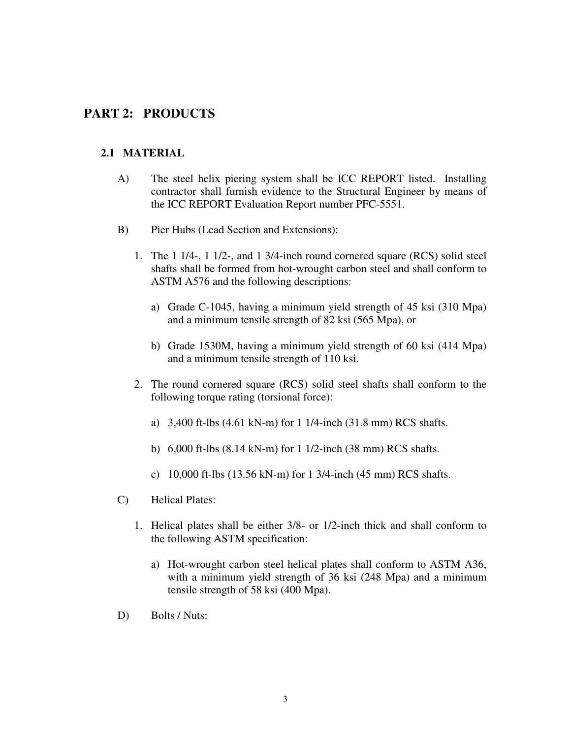## **PART 2: PRODUCTS**

#### **2.1 MATERIAL**

- A) The steel helix piering system shall be ICC REPORT listed. Installing contractor shall furnish evidence to the Structural Engineer by means of the ICC REPORT Evaluation Report number PFC-5551.
- B) Pier Hubs (Lead Section and Extensions):
	- 1. The 1 1/4-, 1 1/2-, and 1 3/4-inch round cornered square (RCS) solid steel shafts shall be formed from hot-wrought carbon steel and shall conform to ASTM A576 and the following descriptions:
		- a) Grade C-1045, having a minimum yield strength of 45 ksi (310 Mpa) and a minimum tensile strength of 82 ksi (565 Mpa), or
		- b) Grade 1530M, having a minimum yield strength of 60 ksi (414 Mpa) and a minimum tensile strength of 110 ksi.
	- 2. The round cornered square (RCS) solid steel shafts shall conform to the following torque rating (torsional force):
		- a) 3,400 ft-lbs (4.61 kN-m) for 1 1/4-inch (31.8 mm) RCS shafts.
		- b) 6,000 ft-lbs (8.14 kN-m) for 1 1/2-inch (38 mm) RCS shafts.
		- c) 10,000 ft-lbs (13.56 kN-m) for 1 3/4-inch (45 mm) RCS shafts.
- C) Helical Plates:
	- 1. Helical plates shall be either 3/8- or 1/2-inch thick and shall conform to the following ASTM specification:
		- a) Hot-wrought carbon steel helical plates shall conform to ASTM A36, with a minimum yield strength of 36 ksi (248 Mpa) and a minimum tensile strength of 58 ksi (400 Mpa).
- D) Bolts / Nuts: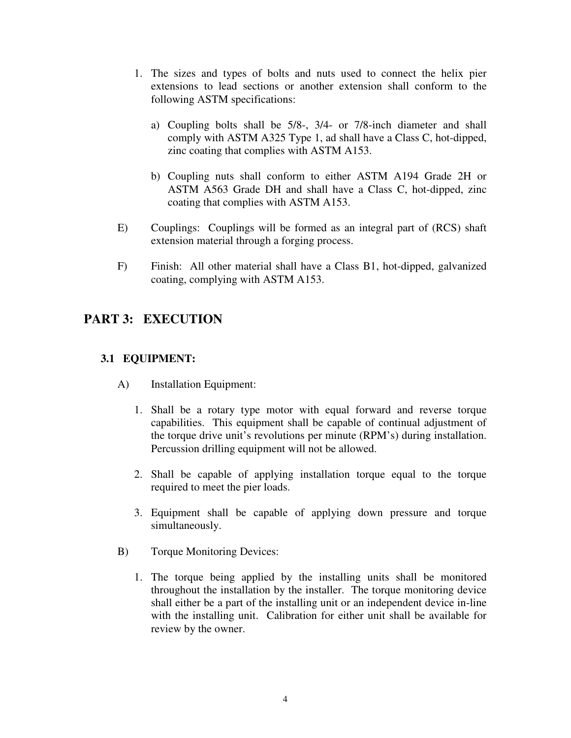- 1. The sizes and types of bolts and nuts used to connect the helix pier extensions to lead sections or another extension shall conform to the following ASTM specifications:
	- a) Coupling bolts shall be 5/8-, 3/4- or 7/8-inch diameter and shall comply with ASTM A325 Type 1, ad shall have a Class C, hot-dipped, zinc coating that complies with ASTM A153.
	- b) Coupling nuts shall conform to either ASTM A194 Grade 2H or ASTM A563 Grade DH and shall have a Class C, hot-dipped, zinc coating that complies with ASTM A153.
- E) Couplings: Couplings will be formed as an integral part of (RCS) shaft extension material through a forging process.
- F) Finish: All other material shall have a Class B1, hot-dipped, galvanized coating, complying with ASTM A153.

## **PART 3: EXECUTION**

## **3.1 EQUIPMENT:**

- A) Installation Equipment:
	- 1. Shall be a rotary type motor with equal forward and reverse torque capabilities. This equipment shall be capable of continual adjustment of the torque drive unit's revolutions per minute (RPM's) during installation. Percussion drilling equipment will not be allowed.
	- 2. Shall be capable of applying installation torque equal to the torque required to meet the pier loads.
	- 3. Equipment shall be capable of applying down pressure and torque simultaneously.
- B) Torque Monitoring Devices:
	- 1. The torque being applied by the installing units shall be monitored throughout the installation by the installer. The torque monitoring device shall either be a part of the installing unit or an independent device in-line with the installing unit. Calibration for either unit shall be available for review by the owner.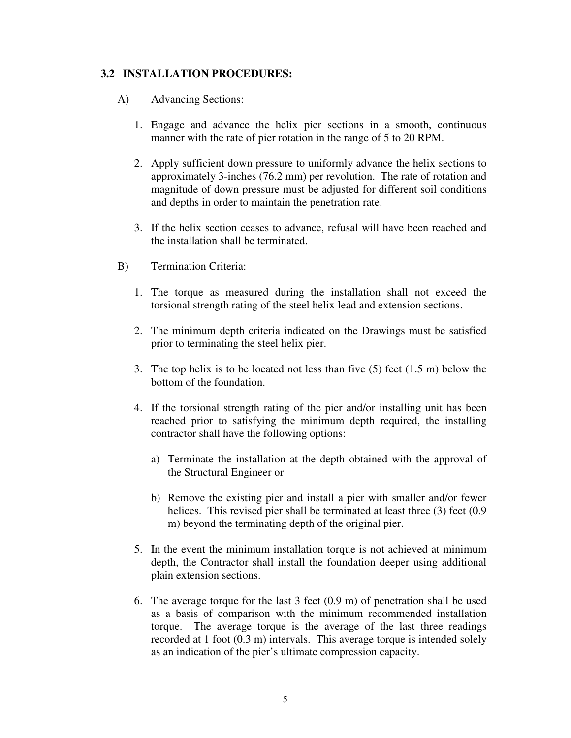#### **3.2 INSTALLATION PROCEDURES:**

- A) Advancing Sections:
	- 1. Engage and advance the helix pier sections in a smooth, continuous manner with the rate of pier rotation in the range of 5 to 20 RPM.
	- 2. Apply sufficient down pressure to uniformly advance the helix sections to approximately 3-inches (76.2 mm) per revolution. The rate of rotation and magnitude of down pressure must be adjusted for different soil conditions and depths in order to maintain the penetration rate.
	- 3. If the helix section ceases to advance, refusal will have been reached and the installation shall be terminated.
- B) Termination Criteria:
	- 1. The torque as measured during the installation shall not exceed the torsional strength rating of the steel helix lead and extension sections.
	- 2. The minimum depth criteria indicated on the Drawings must be satisfied prior to terminating the steel helix pier.
	- 3. The top helix is to be located not less than five (5) feet (1.5 m) below the bottom of the foundation.
	- 4. If the torsional strength rating of the pier and/or installing unit has been reached prior to satisfying the minimum depth required, the installing contractor shall have the following options:
		- a) Terminate the installation at the depth obtained with the approval of the Structural Engineer or
		- b) Remove the existing pier and install a pier with smaller and/or fewer helices. This revised pier shall be terminated at least three (3) feet (0.9) m) beyond the terminating depth of the original pier.
	- 5. In the event the minimum installation torque is not achieved at minimum depth, the Contractor shall install the foundation deeper using additional plain extension sections.
	- 6. The average torque for the last 3 feet (0.9 m) of penetration shall be used as a basis of comparison with the minimum recommended installation torque. The average torque is the average of the last three readings recorded at 1 foot (0.3 m) intervals. This average torque is intended solely as an indication of the pier's ultimate compression capacity.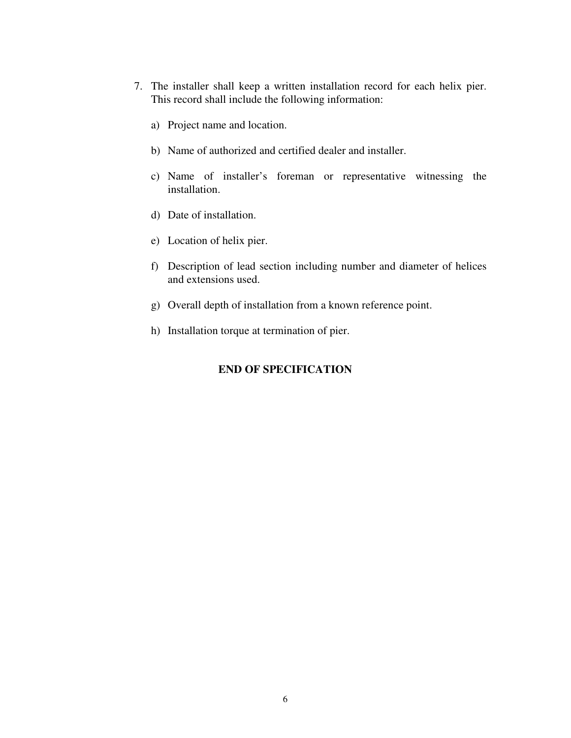- 7. The installer shall keep a written installation record for each helix pier. This record shall include the following information:
	- a) Project name and location.
	- b) Name of authorized and certified dealer and installer.
	- c) Name of installer's foreman or representative witnessing the installation.
	- d) Date of installation.
	- e) Location of helix pier.
	- f) Description of lead section including number and diameter of helices and extensions used.
	- g) Overall depth of installation from a known reference point.
	- h) Installation torque at termination of pier.

### **END OF SPECIFICATION**